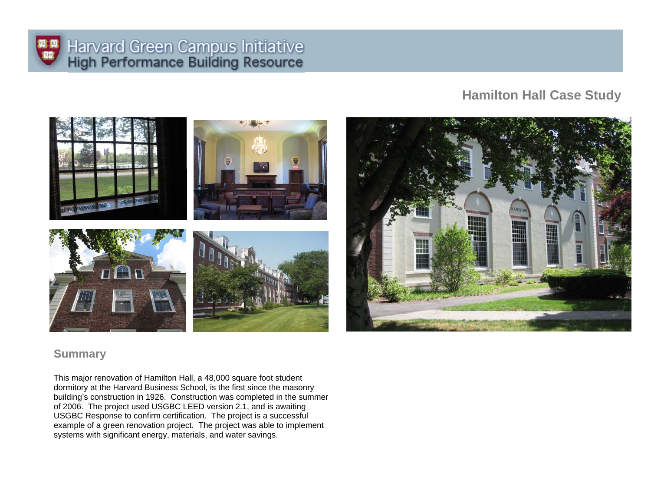

# Harvard Green Campus Initiative<br>High Performance Building Resource

# **Hamilton Hall Case Study**



## **Summary**

This major renovation of Hamilton Hall, a 48,000 square foot student dormitory at the Harvard Business School, is the first since the masonry building's construction in 1926. Construction was completed in the summer of 2006. The project used USGBC LEED version 2.1, and is awaiting USGBC Response to confirm certification. The project is a successful example of a green renovation project. The project was able to implement systems with significant energy, materials, and water savings.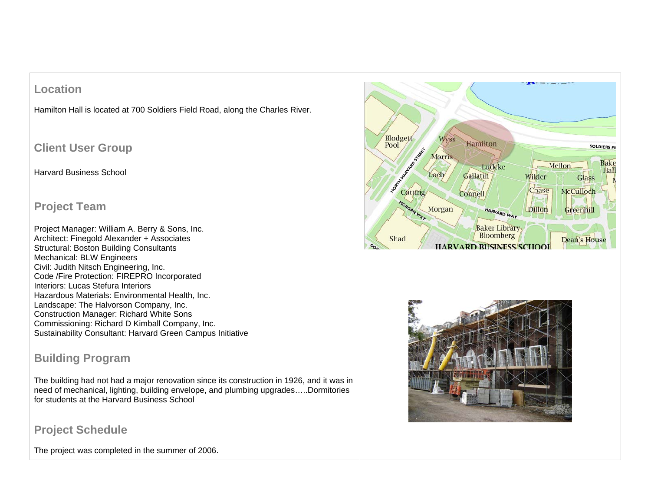# **Location**

Hamilton Hall is located at 700 Soldiers Field Road, along the Charles River.

# **Client User Group**

#### Harvard Business School

### **Project Team**

Project Manager: William A. Berry & Sons, Inc. Architect: Finegold Alexander + Associates Structural: Boston Building Consultants Mechanical: BLW Engineers Civil: Judith Nitsch Engineering, Inc. Code /Fire Protection: FIREPRO Incorporated Interiors: Lucas Stefura Interiors Hazardous Materials: Environmental Health, Inc. Landscape: The Halvorson Company, Inc. Construction Manager: Richard White Sons Commissioning: Richard D Kimball Company, Inc. Sustainability Consultant: Harvard Green Campus Initiative

# **Building Program**

The building had not had a major renovation since its construction in 1926, and it was in need of mechanical, lighting, building envelope, and plumbing upgrades…..Dormitories for students at the Harvard Business School





**Project Schedule**

The project was completed in the summer of 2006.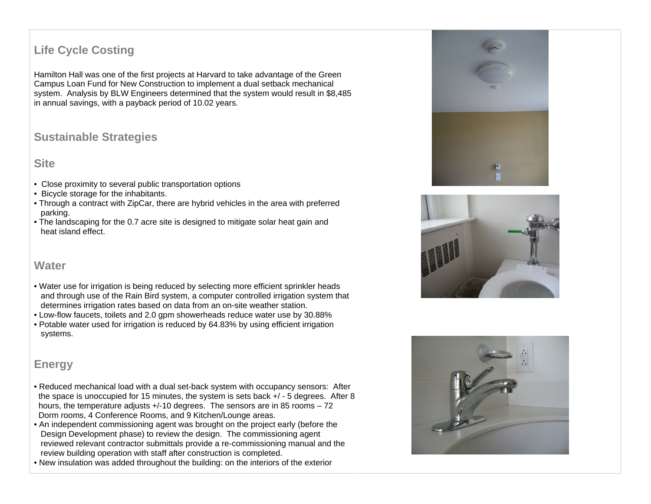# **Life Cycle Costing**

Hamilton Hall was one of the first projects at Harvard to take advantage of the Green Campus Loan Fund for New Construction to implement a dual setback mechanical system. Analysis by BLW Engineers determined that the system would result in \$8,485 in annual savings, with a payback period of 10.02 years.

## **Sustainable Strategies**

#### **Site**

- Close proximity to several public transportation options
- Bicycle storage for the inhabitants.
- Through a contract with ZipCar, there are hybrid vehicles in the area with preferred parking.
- The landscaping for the 0.7 acre site is designed to mitigate solar heat gain and heat island effect.

#### **Water**

- Water use for irrigation is being reduced by selecting more efficient sprinkler heads and through use of the Rain Bird system, a computer controlled irrigation system that determines irrigation rates based on data from an on-site weather station.
- Low-flow faucets, toilets and 2.0 gpm showerheads reduce water use by 30.88%
- Potable water used for irrigation is reduced by 64.83% by using efficient irrigation systems.

#### **Energy**

- Reduced mechanical load with a dual set-back system with occupancy sensors: After the space is unoccupied for 15 minutes, the system is sets back +/ - 5 degrees. After 8 hours, the temperature adjusts +/-10 degrees. The sensors are in 85 rooms – 72 Dorm rooms, 4 Conference Rooms, and 9 Kitchen/Lounge areas.
- An independent commissioning agent was brought on the project early (before the Design Development phase) to review the design. The commissioning agent reviewed relevant contractor submittals provide a re-commissioning manual and the review building operation with staff after construction is completed.
- New insulation was added throughout the building: on the interiors of the exterior